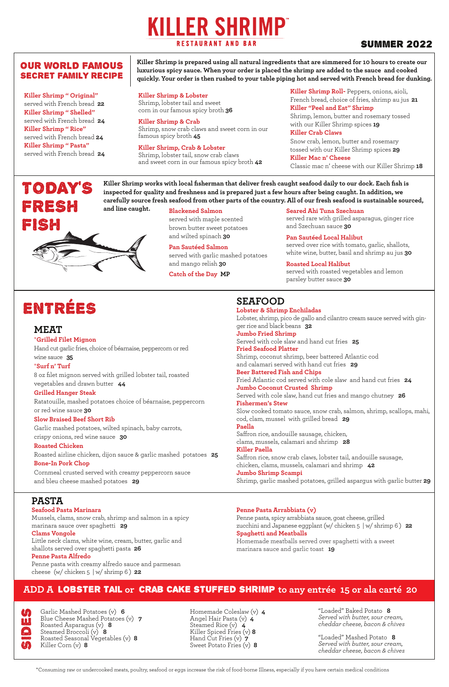#### OUR WORLD FAMOUS SECRET FAMILY RECIPE

## **KILLER SHRIMP RESTAURANT AND BAR**

#### SUMMER 2022

\*Consuming raw or undercooked meats, poultry, seafood or eggs increase the risk of food-borne Illness, especially if you have certain medical conditions

**Killer Shrimp is prepared using all natural ingredients that are simmered for 10 hours to create our luxurious spicy sauce. When your order is placed the shrimp are added to the sauce and cooked** 

TODAY'S FRESH FISH **and line caught.**

**Killer Shrimp works with local fisherman that deliver fresh caught seafood daily to our dock. Each fish is inspected for quality and freshness and is prepared just a few hours after being caught. In addition, we carefully source fresh seafood from other parts of the country. All of our fresh seafood is sustainable sourced,** 

**Killer Shrimp " Original"** 

served with French bread **22 Killer Shrimp " Shelled"** served with French bread **24 Killer Shrimp " Rice"** served with French bread **24 Killer Shrimp " Pasta"** served with French bread **24**

**Seared Ahi Tuna Szechuan** 

served rare with grilled asparagus, ginger rice and Szechuan sauce **30**

**quickly. Your order is then rushed to your table piping hot and served with French bread for dunking. Killer Shrimp & Lobster** Shrimp, lobster tail and sweet

> **Pan Sautéed Local Halibut** served over rice with tomato, garlic, shallots, white wine, butter, basil and shrimp au jus **30**

**Roasted Local Halibut** served with roasted vegetables and lemon parsley butter sauce **30**

#### **Blackened Salmon**

served with maple scented brown butter sweet potatoes and wilted spinach **30**

**Pan Sautéed Salmon** served with garlic mashed potatoes and mango relish **30**

**Catch of the Day MP**

**Killer Shrimp Roll-** Peppers, onions, aioli, French bread, choice of fries, shrimp au jus **21 Killer "Peel and Eat" Shrimp** Shrimp, lemon, butter and rosemary tossed with our Killer Shrimp spices **19 Killer Crab Claws**

Snow crab, lemon, butter and rosemary tossed with our Killer Shrimp spices **29 Killer Mac n' Cheese** Classic mac n' cheese with our Killer Shrimp **18**

corn in our famous spicy broth **36 Killer Shrimp & Crab**

Shrimp, snow crab claws and sweet corn in our famous spicy broth **45**

**Killer Shrimp, Crab & Lobster** Shrimp, lobster tail, snow crab claws and sweet corn in our famous spicy broth **42**

### **SEAFOOD**

Garlic Mashed Potatoes (v) 6<br>Blue Cheese Mashed Potatoes<br>Roasted Asparagus (v) 8<br>Steamed Broccoli (v) 8<br>Roasted Seasonal Vegetables (<br>Killer Corn (v) 8 Mashed Potatoes (v) **7** ragus (v) **8** Steamed Broccoli (v) **8** Roasted Seasonal Vegetables (v) **8** Killer Corn (v) **8**

**Lobster & Shrimp Enchiladas** Lobster, shrimp, pico de gallo and cilantro cream sauce served with ginger rice and black beans **32 Jumbo Fried Shrimp** Served with cole slaw and hand cut fries **25 Fried Seafood Platter** Shrimp, coconut shrimp, beer battered Atlantic cod and calamari served with hand cut fries **29 Beer Battered Fish and Chips** Fried Atlantic cod served with cole slaw and hand cut fries **24 Jumbo Coconut Crusted Shrimp** Served with cole slaw, hand cut fries and mango chutney **26** Slow cooked tomato sauce, snow crab, salmon, shrimp, scallops, mahi, cod, clam, mussel with grilled bread **29 Paella** Saffron rice, andouille sausage, chicken, clams, mussels, calamari and shrimp **28 Killer Paella** Saffron rice, snow crab claws, lobster tail, andouille sausage, chicken, clams, mussels, calamari and shrimp **42 Jumbo Shrimp Scampi** Shrimp, garlic mashed potatoes, grilled aspargus with garlic butter **29**

# **Fishermen's Stew**

#### **PASTA**

#### **Seafood Pasta Marinara**

Mussels, clams, snow crab, shrimp and salmon in a spicy marinara sauce over spaghetti **29**

#### **Clams Vongole**

Little neck clams, white wine, cream, butter, garlic and shallots served over spaghetti pasta **26 Penne Pasta Alfredo**

Penne pasta with creamy alfredo sauce and parmesan cheese (w/ chicken 5 | w/ shrimp 6 ) **22**

## ENTRÉES

**MEAT**

#### \***Grilled Filet Mignon**

Hand cut garlic fries, choice of béarnaise, peppercorn or red

wine sauce **35**

#### \***Surf n' Turf**

8 oz filet mignon served with grilled lobster tail, roasted vegetables and drawn butter **44**

#### **Grilled Hanger Steak**

Ratatouille, mashed potatoes choice of béarnaise, peppercorn or red wine sauce **30**

#### **Slow Braised Beef Short Rib**

Garlic mashed potatoes, wilted spinach, baby carrots,

crispy onions, red wine sauce **30**

#### **Roasted Chicken**

Roasted airline chicken, dijon sauce & garlic mashed potatoes **25 Bone-In Pork Chop**

Cornmeal crusted served with creamy peppercorn sauce and bleu cheese mashed potatoes **29**

#### **Penne Pasta Arrabbiata (v)**

Penne pasta, spicy arrabbiata sauce, goat cheese, grilled zucchini and Japanese eggplant (w/ chicken 5 | w/ shrimp 6 ) **22 Spaghetti and Meatballs**

Homemade meatballs served over spaghetti with a sweet marinara sauce and garlic toast **19**

Homemade Coleslaw (v) **4** Angel Hair Pasta (v) **4** Steamed Rice (v) **4** Killer Spiced Fries (v) **8** Hand Cut Fries (v) **7** Sweet Potato Fries (v) **8**

"Loaded" Baked Potato **8** *Served with butter, sour cream, cheddar cheese, bacon & chives* 

"Loaded" Mashed Potato **<sup>8</sup>** *Served with butter, sour cream, cheddar cheese, bacon & chives* 

#### **ADD A** lobster tail **or** crab CAKE stuffed shrimP **to any entrée 15 or ala carté 20**

| $I_T$          | Garlic Masheo       |
|----------------|---------------------|
| Π,             | Blue Cheese N       |
|                | Roasted Aspai       |
| $\blacksquare$ | <b>Steamed Broc</b> |
|                | Roasted Seasc       |
| IĄ,            | Killer Corn (v      |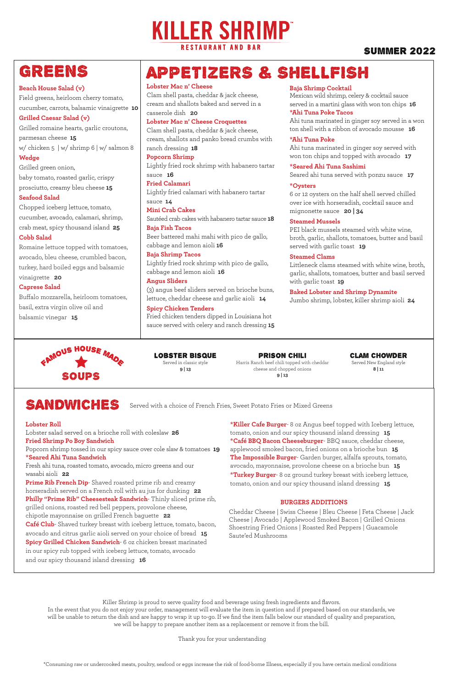## APPETIZERS & SHELLFISH

#### **Lobster Mac n' Cheese**

Clam shell pasta, cheddar & jack cheese, cream and shallots baked and served in a casserole dish **20**

#### **Lobster Mac n' Cheese Croquettes**

Clam shell pasta, cheddar & jack cheese, cream, shallots and panko bread crumbs with ranch dressing **18**

#### **Popcorn Shrimp**

Lightly fried rock shrimp with habanero tartar sauce **16**

#### **Fried Calamari**

Lightly fried calamari with habanero tartar sauce **14**

#### **Mini Crab Cakes**

Sautéed crab cakes with habanero tartar sauce **18 Baja Fish Tacos**

Beer battered mahi mahi with pico de gallo, cabbage and lemon aioli **16**

#### **Baja Shrimp Tacos**

Lightly fried rock shrimp with pico de gallo, cabbage and lemon aioli **16**

#### **Angus Sliders**

(3) angus beef sliders served on brioche buns, lettuce, cheddar cheese and garlic aioli **14**

#### **Spicy Chicken Tenders**

Fried chicken tenders dipped in Louisiana hot sauce served with celery and ranch dressing **15**

#### **Baja Shrimp Cocktail**

Mexican wild shrimp, celery & cocktail sauce served in a martini glass with won ton chips **16 \*Ahi Tuna Poke Tacos**

Ahi tuna marinated in ginger soy served in a won ton shell with a ribbon of avocado mousse **16**

#### **\*Ahi Tuna Poke**

Ahi tuna marinated in ginger soy served with won ton chips and topped with avocado **17**

**\*Seared Ahi Tuna Sashimi**

Seared ahi tuna served with ponzu sauce **17**

#### **\*Oysters**

6 or 12 oysters on the half shell served chilled over ice with horseradish, cocktail sauce and mignonette sauce **20 | 34**

#### **Steamed Mussels**

PEI black mussels steamed with white wine, broth, garlic, shallots, tomatoes, butter and basil served with garlic toast **19**

#### **Steamed Clams**

Littleneck clams steamed with white wine, broth, garlic, shallots, tomatoes, butter and basil served with garlic toast **19**

#### **Baked Lobster and Shrimp Dynamite**

Jumbo shrimp, lobster, killer shrimp aioli **24**

## SANDWICHES

#### **BURGERS ADDITIONS**

#### **Lobster Roll**

Lobster salad served on a brioche roll with coleslaw **26 Fried Shrimp Po Boy Sandwich**

Popcorn shrimp tossed in our spicy sauce over cole slaw & tomatoes **19 \*Seared Ahi Tuna Sandwich**

Fresh ahi tuna, roasted tomato, avocado, micro greens and our wasabi aioli **22**

**Prime Rib French Dip**- Shaved roasted prime rib and creamy horseradish served on a French roll with au jus for dunking **22 Philly "Prime Rib" Cheesesteak Sandwich**- Thinly sliced prime rib, grilled onions, roasted red bell peppers, provolone cheese, chipotle mayonnaise on grilled French baguette **22 Café Club**- Shaved turkey breast with iceberg lettuce, tomato, bacon, avocado and citrus garlic aioli served on your choice of bread **15 Spicy Grilled Chicken Sandwich**- 6 oz chicken breast marinated in our spicy rub topped with iceberg lettuce, tomato, avocado and our spicy thousand island dressing **16**

**\*Killer Cafe Burger**- 8 oz Angus beef topped with Iceberg lettuce, tomato, onion and our spicy thousand island dressing **15 \*Café BBQ Bacon Cheeseburger**- BBQ sauce, cheddar cheese, applewood smoked bacon, fried onions on a brioche bun **15 The Impossible Burger**- Garden burger, alfalfa sprouts, tomato, avocado, mayonnaise, provolone cheese on a brioche bun **15 \*Turkey Burger**- 8 oz ground turkey breast with iceberg lettuce, tomato, onion and our spicy thousand island dressing **15**

Served with a choice of French Fries, Sweet Potato Fries or Mixed Greens

Cheddar Cheese | Swiss Cheese | Bleu Cheese | Feta Cheese | Jack Cheese | Avocado | Applewood Smoked Bacon | Grilled Onions Shoestring Fried Onions | Roasted Red Peppers | Guacamole Saute'ed Mushrooms

## GREENS

SOUPS

FAMOUS HOUSE MADE

**Beach House Salad (v)** Field greens, heirloom cherry tomato, cucumber, carrots, balsamic vinaigrette **10** 

#### **Grilled Caesar Salad (v)**

Grilled romaine hearts, garlic croutons, parmesan cheese **15** w/ chicken 5 | w/ shrimp 6 | w/ salmon 8 **Wedge**

Grilled green onion, baby tomato, roasted garlic, crispy prosciutto, creamy bleu cheese **15**

#### **Seafood Salad**

Chopped iceberg lettuce, tomato, cucumber, avocado, calamari, shrimp, crab meat, spicy thousand island **25 Cobb Salad**

#### Romaine lettuce topped with tomatoes, avocado, bleu cheese, crumbled bacon, turkey, hard boiled eggs and balsamic

vinaigrette **20**

#### **Caprese Salad**

Buffalo mozzarella, heirloom tomatoes, basil, extra virgin olive oil and balsamic vinegar **15**

> Lobster Bisque Served in classic style **9 | 13**

Clam ChowdeR Served New England style **8 | 11**

Prison Chili Harris Ranch beef chili topped with cheddar cheese and chopped onions **9 | 13**

\*Consuming raw or undercooked meats, poultry, seafood or eggs increase the risk of food-borne Illness, especially if you have certain medical conditions

Killer Shrimp is proud to serve quality food and beverage using fresh ingredients and flavors. In the event that you do not enjoy your order, management will evaluate the item in question and if prepared based on our standards, we will be unable to return the dish and are happy to wrap it up to-go. If we find the item falls below our standard of quality and preparation, we will be happy to prepare another item as a replacement or remove it from the bill.

Thank you for your understanding

## **KILLER SHRIMP® RESTAURANT AND BAR**

#### SUMMER 2022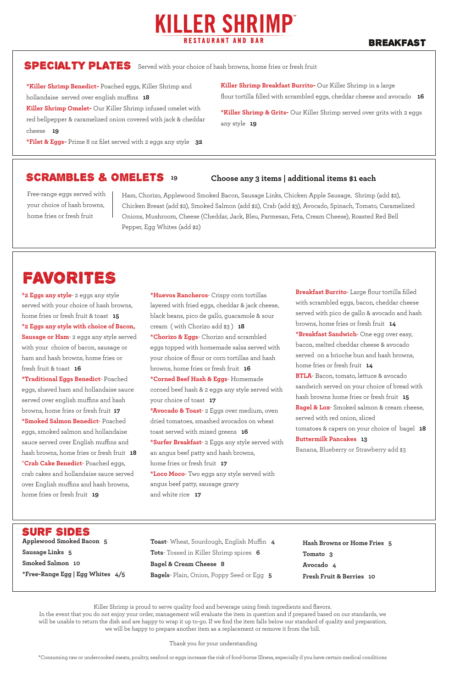#### surf SIDES

## FAVORITES

Free-range eggs served with your choice of hash browns, home fries or fresh fruit

Ham, Chorizo, Applewood Smoked Bacon, Sausage Links, Chicken Apple Sausage, Shrimp (add \$2), Chicken Breast (add \$2), Smoked Salmon (add \$2), Crab (add \$3), Avocado, Spinach, Tomato, Caramelized Onions, Mushroom, Cheese (Cheddar, Jack, Bleu, Parmesan, Feta, Cream Cheese), Roasted Red Bell Pepper, Egg Whites (add \$2)

**\*Killer Shrimp Benedict-** Poached eggs, Killer Shrimp and hollandaise served over english muffins **18 Killer Shrimp Omelet-** Our Killer Shrimp infused omelet with red bellpepper & caramelized onion covered with jack & cheddar cheese **19**

**\*Filet & Eggs-** Prime 8 oz filet served with 2 eggs any style **32**

#### SCRAMBLES & OMELETS 19

**Killer Shrimp Breakfast Burrito-** Our Killer Shrimp in a large flour tortilla filled with scrambled eggs, cheddar cheese and avocado **16**

**\*Killer Shrimp & Grits-** Our Killer Shrimp served over grits with 2 eggs any style **19**

**\*2 Eggs any style**- 2 eggs any style served with your choice of hash browns, home fries or fresh fruit & toast **15 \*2 Eggs any style with choice of Bacon, Sausage or Ham**- 2 eggs any style served with your choice of bacon, sausage or ham and hash browns, home fries or fresh fruit & toast **16 \*Traditional Eggs Benedict**- Poached eggs, shaved ham and hollandaise sauce served over english muffins and hash browns, home fries or fresh fruit **17 \*Smoked Salmon Benedict**- Poached eggs, smoked salmon and hollandaise sauce served over English muffins and hash browns, home fries or fresh fruit **18** \***Crab Cake Benedict**- Poached eggs, crab cakes and hollandaise sauce served over English muffins and hash browns, home fries or fresh fruit **19**

**Applewood Smoked Bacon 5**

**Sausage Links 5**

**Smoked Salmon 10**

**\*Free-Range Egg | Egg Whites 4/5**

**Toast**- Wheat, Sourdough, English Muffin **4 Tots**- Tossed in Killer Shrimp spices **6 Bagel & Cream Cheese 8 Bagels**- Plain, Onion, Poppy Seed or Egg **5**

**Breakfast Burrito**- Large flour tortilla filled with scrambled eggs, bacon, cheddar cheese served with pico de gallo & avocado and hash browns, home fries or fresh fruit **14 \*Breakfast Sandwich**- One egg over easy, bacon, melted cheddar cheese & avocado served on a brioche bun and hash browns, home fries or fresh fruit **14 BTLA**- Bacon, tomato, lettuce & avocado sandwich served on your choice of bread with hash browns home fries or fresh fruit **15 Bagel & Lox**- Smoked salmon & cream cheese, served with red onion, sliced tomatoes & capers on your choice of bagel **18 Buttermilk Pancakes 13** Banana, Blueberry or Strawberry add \$3

**19 Choose any 3 items | additional items \$1 each**

**Hash Browns or Home Fries 5 Tomato 3 Avocado 4**

**Fresh Fruit & Berries 10**

## **KILLER SHRIMP® RESTAURANT AND BAR**

#### BREAKFAST

### SPECIALTY PLATES Served with your choice of hash browns, home fries or fresh fruit

**\*Huevos Rancheros**- Crispy corn tortillas layered with fried eggs, cheddar & jack cheese, black beans, pico de gallo, guacamole & sour cream ( with Chorizo add \$3 ) **18 \*Chorizo & Eggs**- Chorizo and scrambled eggs topped with homemade salsa served with your choice of flour or corn tortillas and hash browns, home fries or fresh fruit **16 \*Corned Beef Hash & Eggs**- Homemade corned beef hash & 2 eggs any style served with your choice of toast **17 \*Avocado & Toast**- 2 Eggs over medium, oven dried tomatoes, smashed avocados on wheat toast served with mixed greens **16 \*Surfer Breakfast**- 2 Eggs any style served with an angus beef patty and hash browns, home fries or fresh fruit **17 \*Loco Moco**- Two eggs any style served with angus beef patty, sausage gravy and white rice **17**

Killer Shrimp is proud to serve quality food and beverage using fresh ingredients and flavors. In the event that you do not enjoy your order, management will evaluate the item in question and if prepared based on our standards, we will be unable to return the dish and are happy to wrap it up to-go. If we find the item falls below our standard of quality and preparation, we will be happy to prepare another item as a replacement or remove it from the bill.

Thank you for your understanding

\*Consuming raw or undercooked meats, poultry, seafood or eggs increase the risk of food-borne Illness, especially if you have certain medical conditions